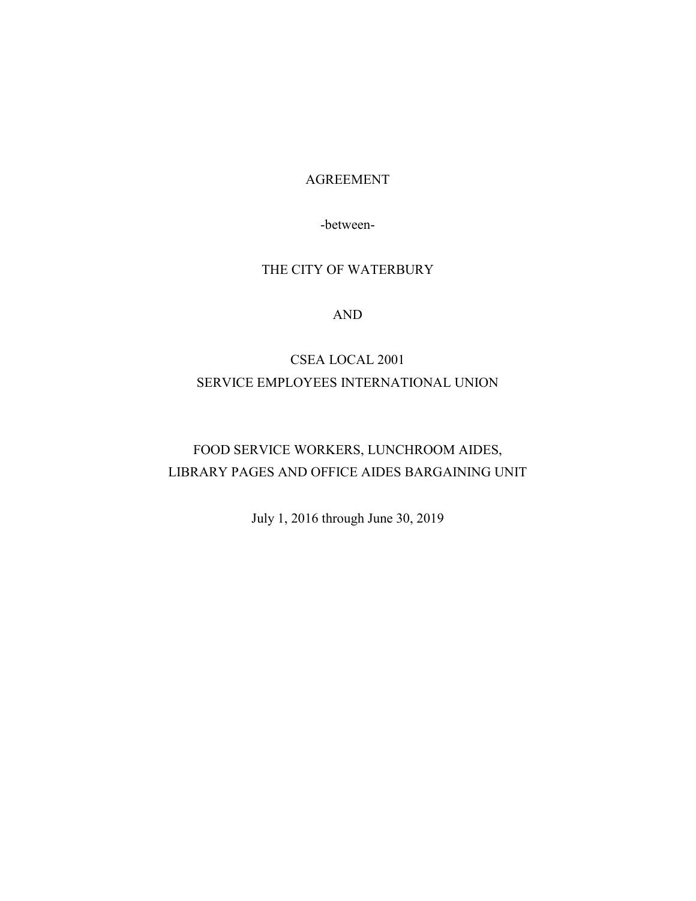#### AGREEMENT

-between-

## THE CITY OF WATERBURY

## AND

# CSEA LOCAL 2001 SERVICE EMPLOYEES INTERNATIONAL UNION

# FOOD SERVICE WORKERS, LUNCHROOM AIDES, LIBRARY PAGES AND OFFICE AIDES BARGAINING UNIT

July 1, 2016 through June 30, 2019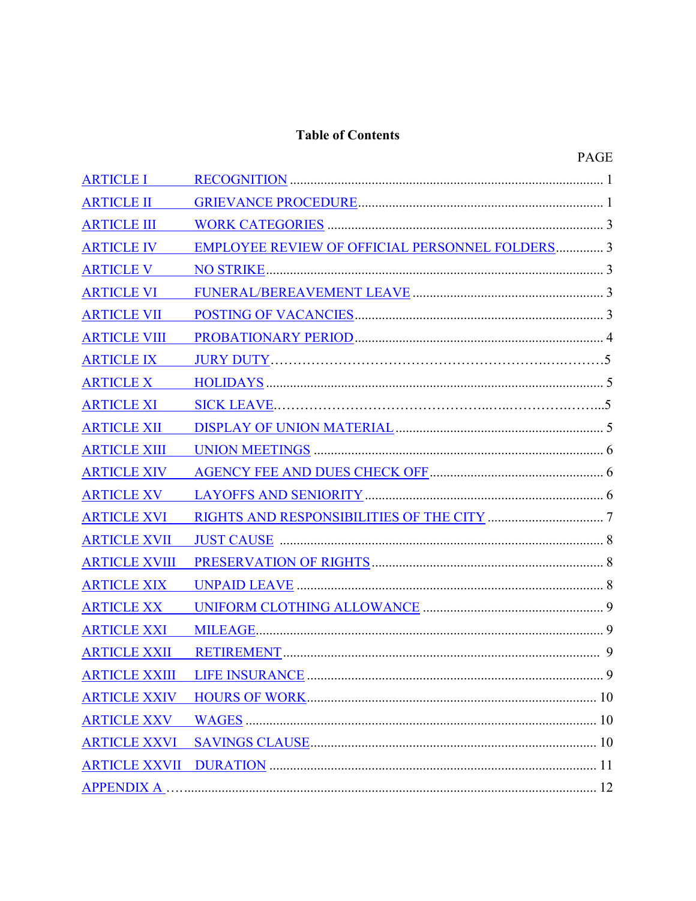## **Table of Contents**

|  | × |  |
|--|---|--|

| <b>ARTICLE I</b>     |                                                        |   |
|----------------------|--------------------------------------------------------|---|
| <b>ARTICLE II</b>    |                                                        |   |
| <b>ARTICLE III</b>   |                                                        |   |
| <b>ARTICLE IV</b>    | <b>EMPLOYEE REVIEW OF OFFICIAL PERSONNEL FOLDERS 3</b> |   |
| <b>ARTICLE V</b>     |                                                        |   |
| <b>ARTICLE VI</b>    |                                                        |   |
| <b>ARTICLE VII</b>   |                                                        |   |
| <b>ARTICLE VIII</b>  |                                                        |   |
| <b>ARTICLE IX</b>    |                                                        |   |
| <b>ARTICLE X</b>     |                                                        |   |
| <b>ARTICLE XI</b>    |                                                        |   |
| <b>ARTICLE XII</b>   |                                                        |   |
| <b>ARTICLE XIII</b>  |                                                        |   |
| <b>ARTICLE XIV</b>   |                                                        |   |
| <b>ARTICLE XV</b>    |                                                        |   |
| <b>ARTICLE XVI</b>   |                                                        |   |
| <b>ARTICLE XVII</b>  |                                                        |   |
| <b>ARTICLE XVIII</b> |                                                        |   |
| <b>ARTICLE XIX</b>   |                                                        |   |
| <b>ARTICLE XX</b>    |                                                        |   |
| <b>ARTICLE XXI</b>   |                                                        |   |
| <b>ARTICLE XXII</b>  |                                                        |   |
| <b>ARTICLE XXIII</b> | <b>LIFE INSURANCE</b>                                  | 9 |
|                      |                                                        |   |
| <b>ARTICLE XXV</b>   |                                                        |   |
|                      |                                                        |   |
|                      |                                                        |   |
| <b>APPENDIX A.</b>   |                                                        |   |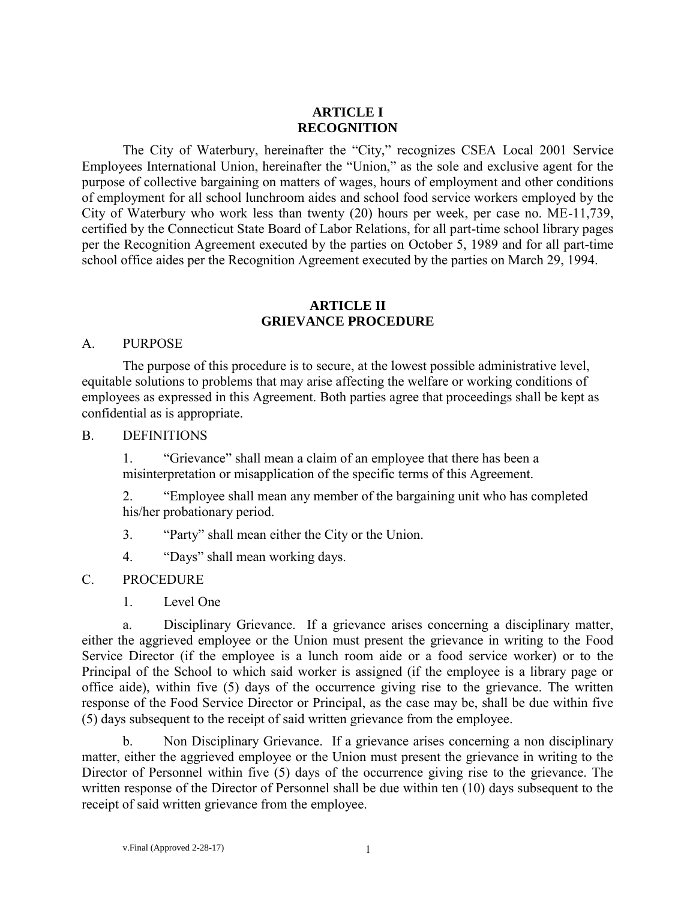### **ARTICLE I RECOGNITION**

The City of Waterbury, hereinafter the "City," recognizes CSEA Local 2001 Service Employees International Union, hereinafter the "Union," as the sole and exclusive agent for the purpose of collective bargaining on matters of wages, hours of employment and other conditions of employment for all school lunchroom aides and school food service workers employed by the City of Waterbury who work less than twenty (20) hours per week, per case no. ME-11,739, certified by the Connecticut State Board of Labor Relations, for all part-time school library pages per the Recognition Agreement executed by the parties on October 5, 1989 and for all part-time school office aides per the Recognition Agreement executed by the parties on March 29, 1994.

#### **ARTICLE II GRIEVANCE PROCEDURE**

#### A. PURPOSE

The purpose of this procedure is to secure, at the lowest possible administrative level, equitable solutions to problems that may arise affecting the welfare or working conditions of employees as expressed in this Agreement. Both parties agree that proceedings shall be kept as confidential as is appropriate.

#### B. DEFINITIONS

1. "Grievance" shall mean a claim of an employee that there has been a misinterpretation or misapplication of the specific terms of this Agreement.

2. "Employee shall mean any member of the bargaining unit who has completed his/her probationary period.

- 3. "Party" shall mean either the City or the Union.
- 4. "Days" shall mean working days.

#### C. PROCEDURE

1. Level One

a. Disciplinary Grievance. If a grievance arises concerning a disciplinary matter, either the aggrieved employee or the Union must present the grievance in writing to the Food Service Director (if the employee is a lunch room aide or a food service worker) or to the Principal of the School to which said worker is assigned (if the employee is a library page or office aide), within five (5) days of the occurrence giving rise to the grievance. The written response of the Food Service Director or Principal, as the case may be, shall be due within five (5) days subsequent to the receipt of said written grievance from the employee.

b. Non Disciplinary Grievance. If a grievance arises concerning a non disciplinary matter, either the aggrieved employee or the Union must present the grievance in writing to the Director of Personnel within five (5) days of the occurrence giving rise to the grievance. The written response of the Director of Personnel shall be due within ten (10) days subsequent to the receipt of said written grievance from the employee.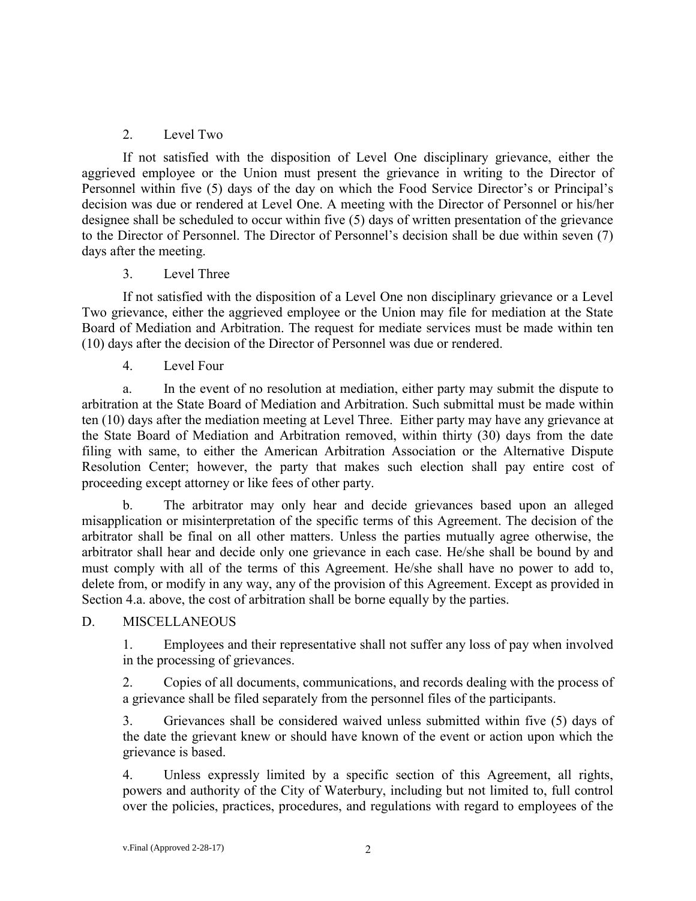## 2. Level Two

If not satisfied with the disposition of Level One disciplinary grievance, either the aggrieved employee or the Union must present the grievance in writing to the Director of Personnel within five (5) days of the day on which the Food Service Director's or Principal's decision was due or rendered at Level One. A meeting with the Director of Personnel or his/her designee shall be scheduled to occur within five (5) days of written presentation of the grievance to the Director of Personnel. The Director of Personnel's decision shall be due within seven (7) days after the meeting.

## 3. Level Three

If not satisfied with the disposition of a Level One non disciplinary grievance or a Level Two grievance, either the aggrieved employee or the Union may file for mediation at the State Board of Mediation and Arbitration. The request for mediate services must be made within ten (10) days after the decision of the Director of Personnel was due or rendered.

4. Level Four

a. In the event of no resolution at mediation, either party may submit the dispute to arbitration at the State Board of Mediation and Arbitration. Such submittal must be made within ten (10) days after the mediation meeting at Level Three. Either party may have any grievance at the State Board of Mediation and Arbitration removed, within thirty (30) days from the date filing with same, to either the American Arbitration Association or the Alternative Dispute Resolution Center; however, the party that makes such election shall pay entire cost of proceeding except attorney or like fees of other party.

b. The arbitrator may only hear and decide grievances based upon an alleged misapplication or misinterpretation of the specific terms of this Agreement. The decision of the arbitrator shall be final on all other matters. Unless the parties mutually agree otherwise, the arbitrator shall hear and decide only one grievance in each case. He/she shall be bound by and must comply with all of the terms of this Agreement. He/she shall have no power to add to, delete from, or modify in any way, any of the provision of this Agreement. Except as provided in Section 4.a. above, the cost of arbitration shall be borne equally by the parties.

## D. MISCELLANEOUS

1. Employees and their representative shall not suffer any loss of pay when involved in the processing of grievances.

2. Copies of all documents, communications, and records dealing with the process of a grievance shall be filed separately from the personnel files of the participants.

3. Grievances shall be considered waived unless submitted within five (5) days of the date the grievant knew or should have known of the event or action upon which the grievance is based.

4. Unless expressly limited by a specific section of this Agreement, all rights, powers and authority of the City of Waterbury, including but not limited to, full control over the policies, practices, procedures, and regulations with regard to employees of the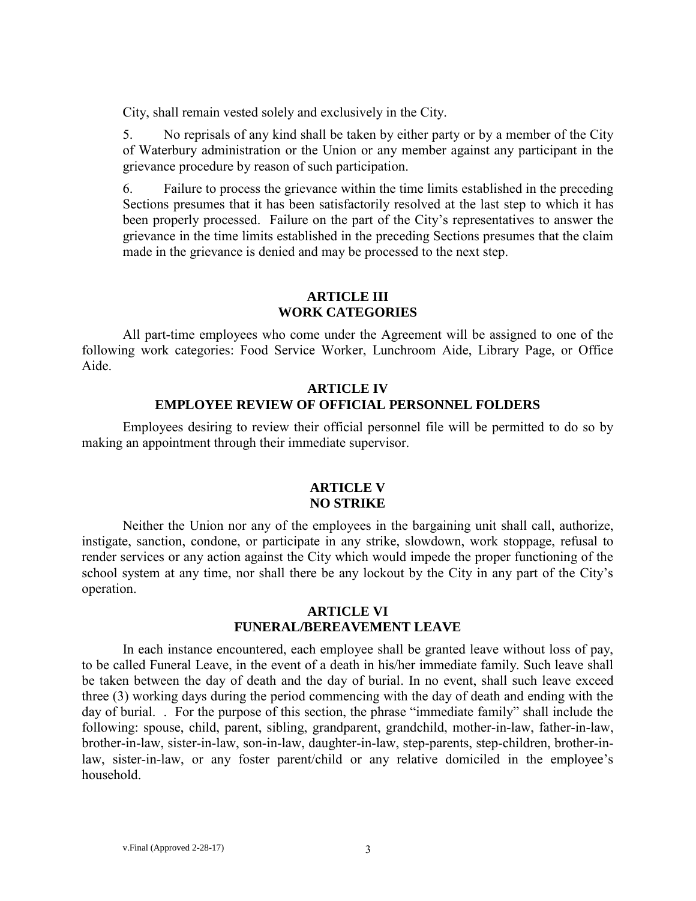City, shall remain vested solely and exclusively in the City.

5. No reprisals of any kind shall be taken by either party or by a member of the City of Waterbury administration or the Union or any member against any participant in the grievance procedure by reason of such participation.

6. Failure to process the grievance within the time limits established in the preceding Sections presumes that it has been satisfactorily resolved at the last step to which it has been properly processed. Failure on the part of the City's representatives to answer the grievance in the time limits established in the preceding Sections presumes that the claim made in the grievance is denied and may be processed to the next step.

#### **ARTICLE III WORK CATEGORIES**

All part-time employees who come under the Agreement will be assigned to one of the following work categories: Food Service Worker, Lunchroom Aide, Library Page, or Office Aide.

### **ARTICLE IV EMPLOYEE REVIEW OF OFFICIAL PERSONNEL FOLDERS**

Employees desiring to review their official personnel file will be permitted to do so by making an appointment through their immediate supervisor.

#### **ARTICLE V NO STRIKE**

Neither the Union nor any of the employees in the bargaining unit shall call, authorize, instigate, sanction, condone, or participate in any strike, slowdown, work stoppage, refusal to render services or any action against the City which would impede the proper functioning of the school system at any time, nor shall there be any lockout by the City in any part of the City's operation.

#### **ARTICLE VI FUNERAL/BEREAVEMENT LEAVE**

In each instance encountered, each employee shall be granted leave without loss of pay, to be called Funeral Leave, in the event of a death in his/her immediate family. Such leave shall be taken between the day of death and the day of burial. In no event, shall such leave exceed three (3) working days during the period commencing with the day of death and ending with the day of burial. . For the purpose of this section, the phrase "immediate family" shall include the following: spouse, child, parent, sibling, grandparent, grandchild, mother-in-law, father-in-law, brother-in-law, sister-in-law, son-in-law, daughter-in-law, step-parents, step-children, brother-inlaw, sister-in-law, or any foster parent/child or any relative domiciled in the employee's household.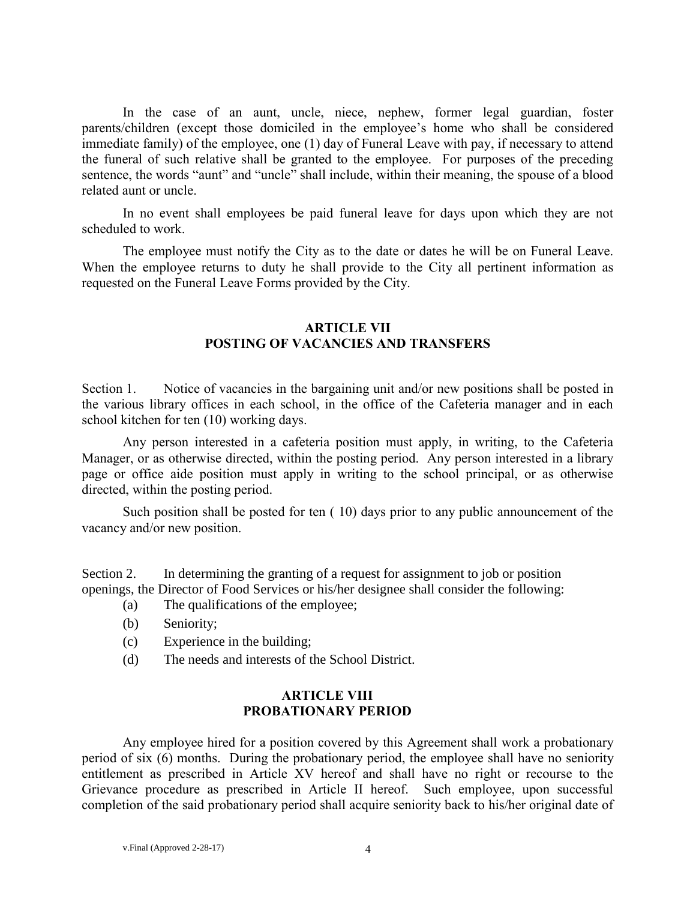In the case of an aunt, uncle, niece, nephew, former legal guardian, foster parents/children (except those domiciled in the employee's home who shall be considered immediate family) of the employee, one (1) day of Funeral Leave with pay, if necessary to attend the funeral of such relative shall be granted to the employee. For purposes of the preceding sentence, the words "aunt" and "uncle" shall include, within their meaning, the spouse of a blood related aunt or uncle.

In no event shall employees be paid funeral leave for days upon which they are not scheduled to work.

The employee must notify the City as to the date or dates he will be on Funeral Leave. When the employee returns to duty he shall provide to the City all pertinent information as requested on the Funeral Leave Forms provided by the City.

#### **ARTICLE VII POSTING OF VACANCIES AND TRANSFERS**

Section 1. Notice of vacancies in the bargaining unit and/or new positions shall be posted in the various library offices in each school, in the office of the Cafeteria manager and in each school kitchen for ten (10) working days.

Any person interested in a cafeteria position must apply, in writing, to the Cafeteria Manager, or as otherwise directed, within the posting period. Any person interested in a library page or office aide position must apply in writing to the school principal, or as otherwise directed, within the posting period.

Such position shall be posted for ten ( 10) days prior to any public announcement of the vacancy and/or new position.

Section 2. In determining the granting of a request for assignment to job or position openings, the Director of Food Services or his/her designee shall consider the following:

- (a) The qualifications of the employee;
- (b) Seniority;
- (c) Experience in the building;
- (d) The needs and interests of the School District.

## **ARTICLE VIII PROBATIONARY PERIOD**

Any employee hired for a position covered by this Agreement shall work a probationary period of six (6) months. During the probationary period, the employee shall have no seniority entitlement as prescribed in Article XV hereof and shall have no right or recourse to the Grievance procedure as prescribed in Article II hereof. Such employee, upon successful completion of the said probationary period shall acquire seniority back to his/her original date of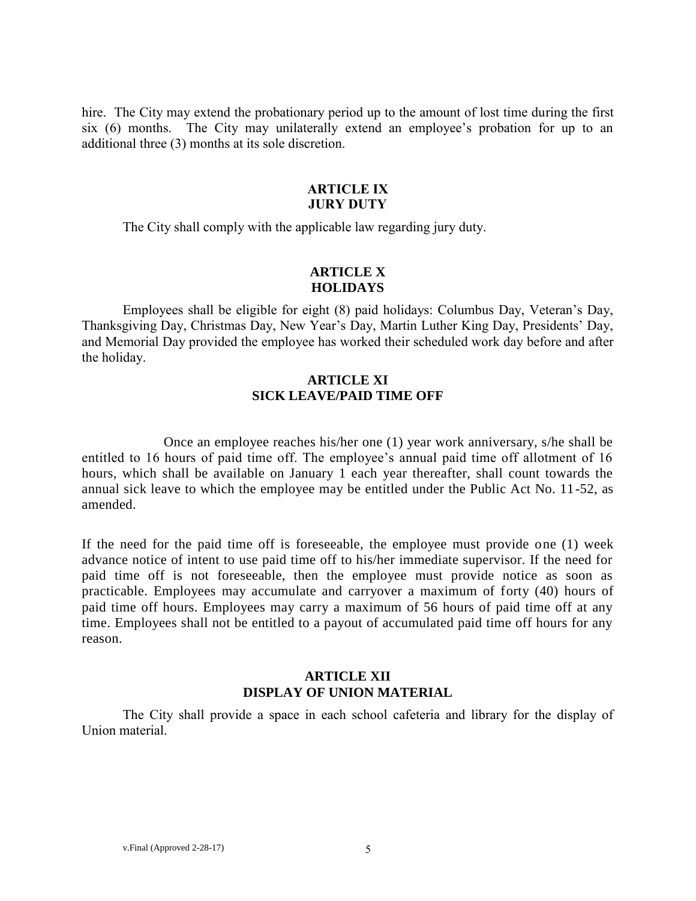hire.The City may extend the probationary period up to the amount of lost time during the first six (6) months. The City may unilaterally extend an employee's probation for up to an additional three (3) months at its sole discretion.

#### **ARTICLE IX JURY DUTY**

The City shall comply with the applicable law regarding jury duty.

## **ARTICLE X HOLIDAYS**

Employees shall be eligible for eight (8) paid holidays: Columbus Day, Veteran's Day, Thanksgiving Day, Christmas Day, New Year's Day, Martin Luther King Day, Presidents' Day, and Memorial Day provided the employee has worked their scheduled work day before and after the holiday.

## **ARTICLE XI SICK LEAVE/PAID TIME OFF**

Once an employee reaches his/her one (1) year work anniversary, s/he shall be entitled to 16 hours of paid time off. The employee's annual paid time off allotment of 16 hours, which shall be available on January 1 each year thereafter, shall count towards the annual sick leave to which the employee may be entitled under the Public Act No. 11-52, as amended.

If the need for the paid time off is foreseeable, the employee must provide one (1) week advance notice of intent to use paid time off to his/her immediate supervisor. If the need for paid time off is not foreseeable, then the employee must provide notice as soon as practicable. Employees may accumulate and carryover a maximum of forty (40) hours of paid time off hours. Employees may carry a maximum of 56 hours of paid time off at any time. Employees shall not be entitled to a payout of accumulated paid time off hours for any reason.

## **ARTICLE XII DISPLAY OF UNION MATERIAL**

The City shall provide a space in each school cafeteria and library for the display of Union material.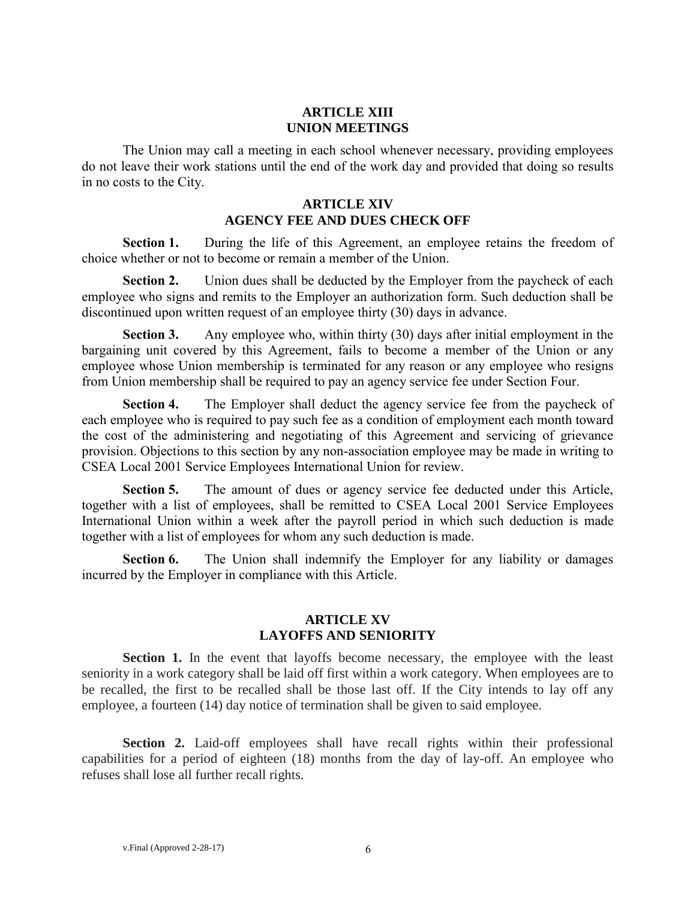### **ARTICLE XIII UNION MEETINGS**

The Union may call a meeting in each school whenever necessary, providing employees do not leave their work stations until the end of the work day and provided that doing so results in no costs to the City.

#### **ARTICLE XIV AGENCY FEE AND DUES CHECK OFF**

**Section 1.** During the life of this Agreement, an employee retains the freedom of choice whether or not to become or remain a member of the Union.

**Section 2.** Union dues shall be deducted by the Employer from the paycheck of each employee who signs and remits to the Employer an authorization form. Such deduction shall be discontinued upon written request of an employee thirty (30) days in advance.

**Section 3.** Any employee who, within thirty (30) days after initial employment in the bargaining unit covered by this Agreement, fails to become a member of the Union or any employee whose Union membership is terminated for any reason or any employee who resigns from Union membership shall be required to pay an agency service fee under Section Four.

**Section 4.** The Employer shall deduct the agency service fee from the paycheck of each employee who is required to pay such fee as a condition of employment each month toward the cost of the administering and negotiating of this Agreement and servicing of grievance provision. Objections to this section by any non-association employee may be made in writing to CSEA Local 2001 Service Employees International Union for review.

**Section 5.** The amount of dues or agency service fee deducted under this Article, together with a list of employees, shall be remitted to CSEA Local 2001 Service Employees International Union within a week after the payroll period in which such deduction is made together with a list of employees for whom any such deduction is made.

**Section 6.** The Union shall indemnify the Employer for any liability or damages incurred by the Employer in compliance with this Article.

#### **ARTICLE XV LAYOFFS AND SENIORITY**

**Section 1.** In the event that layoffs become necessary, the employee with the least seniority in a work category shall be laid off first within a work category. When employees are to be recalled, the first to be recalled shall be those last off. If the City intends to lay off any employee, a fourteen (14) day notice of termination shall be given to said employee.

**Section 2.** Laid-off employees shall have recall rights within their professional capabilities for a period of eighteen (18) months from the day of lay-off. An employee who refuses shall lose all further recall rights.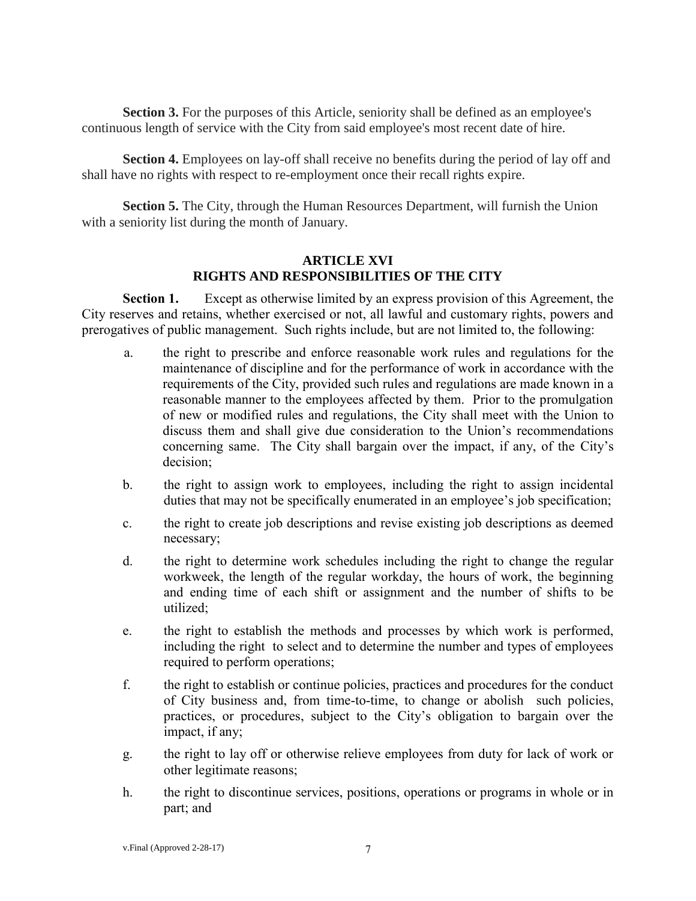Section 3. For the purposes of this Article, seniority shall be defined as an employee's continuous length of service with the City from said employee's most recent date of hire.

**Section 4.** Employees on lay-off shall receive no benefits during the period of lay off and shall have no rights with respect to re-employment once their recall rights expire.

**Section 5.** The City, through the Human Resources Department, will furnish the Union with a seniority list during the month of January.

#### **ARTICLE XVI RIGHTS AND RESPONSIBILITIES OF THE CITY**

**Section 1.** Except as otherwise limited by an express provision of this Agreement, the City reserves and retains, whether exercised or not, all lawful and customary rights, powers and prerogatives of public management. Such rights include, but are not limited to, the following:

- a. the right to prescribe and enforce reasonable work rules and regulations for the maintenance of discipline and for the performance of work in accordance with the requirements of the City, provided such rules and regulations are made known in a reasonable manner to the employees affected by them. Prior to the promulgation of new or modified rules and regulations, the City shall meet with the Union to discuss them and shall give due consideration to the Union's recommendations concerning same. The City shall bargain over the impact, if any, of the City's decision;
- b. the right to assign work to employees, including the right to assign incidental duties that may not be specifically enumerated in an employee's job specification;
- c. the right to create job descriptions and revise existing job descriptions as deemed necessary;
- d. the right to determine work schedules including the right to change the regular workweek, the length of the regular workday, the hours of work, the beginning and ending time of each shift or assignment and the number of shifts to be utilized;
- e. the right to establish the methods and processes by which work is performed, including the right to select and to determine the number and types of employees required to perform operations;
- f. the right to establish or continue policies, practices and procedures for the conduct of City business and, from time-to-time, to change or abolish such policies, practices, or procedures, subject to the City's obligation to bargain over the impact, if any;
- g. the right to lay off or otherwise relieve employees from duty for lack of work or other legitimate reasons;
- h. the right to discontinue services, positions, operations or programs in whole or in part; and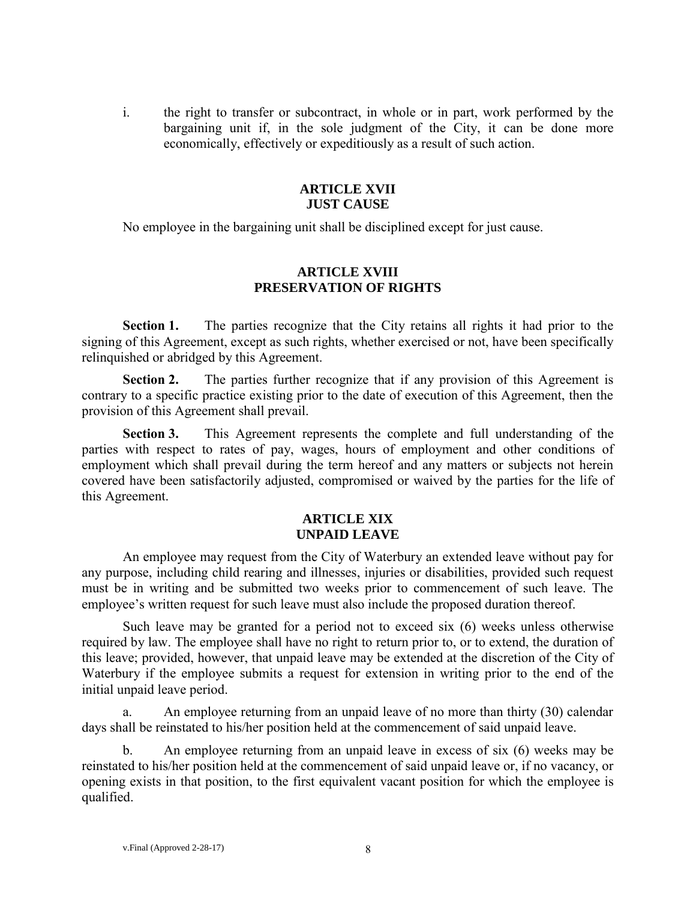i. the right to transfer or subcontract, in whole or in part, work performed by the bargaining unit if, in the sole judgment of the City, it can be done more economically, effectively or expeditiously as a result of such action.

#### **ARTICLE XVII JUST CAUSE**

No employee in the bargaining unit shall be disciplined except for just cause.

## **ARTICLE XVIII PRESERVATION OF RIGHTS**

**Section 1.** The parties recognize that the City retains all rights it had prior to the signing of this Agreement, except as such rights, whether exercised or not, have been specifically relinquished or abridged by this Agreement.

**Section 2.** The parties further recognize that if any provision of this Agreement is contrary to a specific practice existing prior to the date of execution of this Agreement, then the provision of this Agreement shall prevail.

**Section 3.** This Agreement represents the complete and full understanding of the parties with respect to rates of pay, wages, hours of employment and other conditions of employment which shall prevail during the term hereof and any matters or subjects not herein covered have been satisfactorily adjusted, compromised or waived by the parties for the life of this Agreement.

#### **ARTICLE XIX UNPAID LEAVE**

An employee may request from the City of Waterbury an extended leave without pay for any purpose, including child rearing and illnesses, injuries or disabilities, provided such request must be in writing and be submitted two weeks prior to commencement of such leave. The employee's written request for such leave must also include the proposed duration thereof.

Such leave may be granted for a period not to exceed six (6) weeks unless otherwise required by law. The employee shall have no right to return prior to, or to extend, the duration of this leave; provided, however, that unpaid leave may be extended at the discretion of the City of Waterbury if the employee submits a request for extension in writing prior to the end of the initial unpaid leave period.

a. An employee returning from an unpaid leave of no more than thirty (30) calendar days shall be reinstated to his/her position held at the commencement of said unpaid leave.

b. An employee returning from an unpaid leave in excess of six (6) weeks may be reinstated to his/her position held at the commencement of said unpaid leave or, if no vacancy, or opening exists in that position, to the first equivalent vacant position for which the employee is qualified.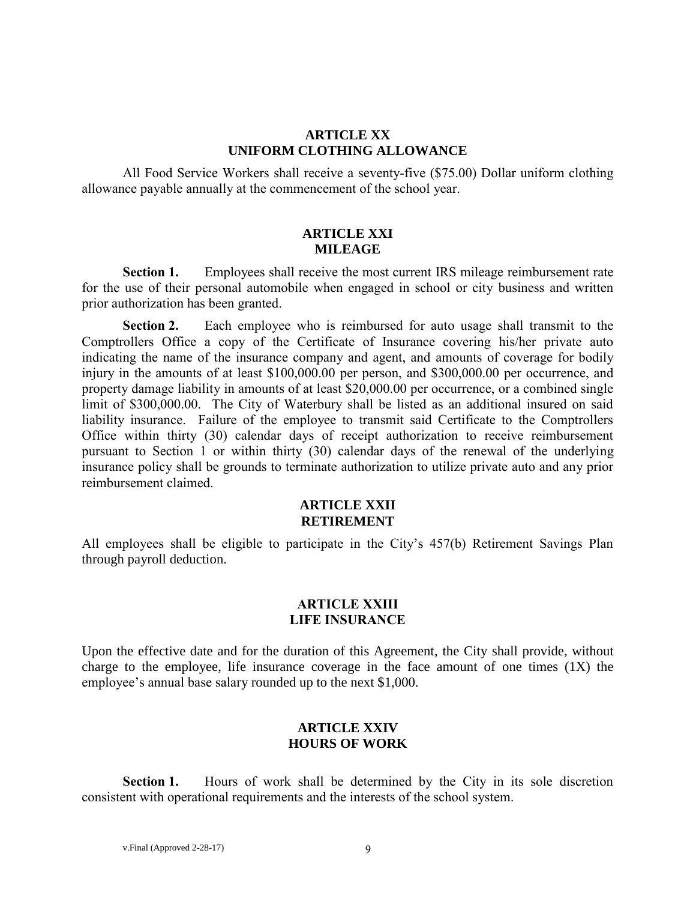#### **ARTICLE XX UNIFORM CLOTHING ALLOWANCE**

All Food Service Workers shall receive a seventy-five (\$75.00) Dollar uniform clothing allowance payable annually at the commencement of the school year.

### **ARTICLE XXI MILEAGE**

**Section 1.** Employees shall receive the most current IRS mileage reimbursement rate for the use of their personal automobile when engaged in school or city business and written prior authorization has been granted.

**Section 2.** Each employee who is reimbursed for auto usage shall transmit to the Comptrollers Office a copy of the Certificate of Insurance covering his/her private auto indicating the name of the insurance company and agent, and amounts of coverage for bodily injury in the amounts of at least \$100,000.00 per person, and \$300,000.00 per occurrence, and property damage liability in amounts of at least \$20,000.00 per occurrence, or a combined single limit of \$300,000.00. The City of Waterbury shall be listed as an additional insured on said liability insurance. Failure of the employee to transmit said Certificate to the Comptrollers Office within thirty (30) calendar days of receipt authorization to receive reimbursement pursuant to Section 1 or within thirty (30) calendar days of the renewal of the underlying insurance policy shall be grounds to terminate authorization to utilize private auto and any prior reimbursement claimed.

#### **ARTICLE XXII RETIREMENT**

All employees shall be eligible to participate in the City's 457(b) Retirement Savings Plan through payroll deduction.

#### **ARTICLE XXIII LIFE INSURANCE**

Upon the effective date and for the duration of this Agreement, the City shall provide, without charge to the employee, life insurance coverage in the face amount of one times  $(1X)$  the employee's annual base salary rounded up to the next \$1,000.

## **ARTICLE XXIV HOURS OF WORK**

**Section 1.** Hours of work shall be determined by the City in its sole discretion consistent with operational requirements and the interests of the school system.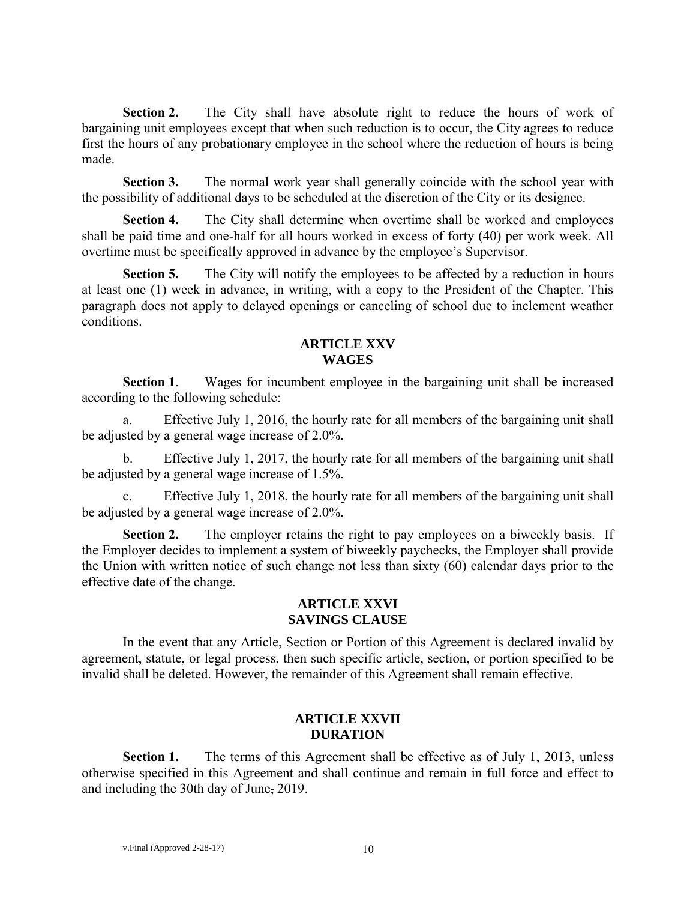**Section 2.** The City shall have absolute right to reduce the hours of work of bargaining unit employees except that when such reduction is to occur, the City agrees to reduce first the hours of any probationary employee in the school where the reduction of hours is being made.

**Section 3.** The normal work year shall generally coincide with the school year with the possibility of additional days to be scheduled at the discretion of the City or its designee.

**Section 4.** The City shall determine when overtime shall be worked and employees shall be paid time and one-half for all hours worked in excess of forty (40) per work week. All overtime must be specifically approved in advance by the employee's Supervisor.

**Section 5.** The City will notify the employees to be affected by a reduction in hours at least one (1) week in advance, in writing, with a copy to the President of the Chapter. This paragraph does not apply to delayed openings or canceling of school due to inclement weather conditions.

### **ARTICLE XXV WAGES**

**Section 1**. Wages for incumbent employee in the bargaining unit shall be increased according to the following schedule:

a. Effective July 1, 2016, the hourly rate for all members of the bargaining unit shall be adjusted by a general wage increase of 2.0%.

b. Effective July 1, 2017, the hourly rate for all members of the bargaining unit shall be adjusted by a general wage increase of 1.5%.

c. Effective July 1, 2018, the hourly rate for all members of the bargaining unit shall be adjusted by a general wage increase of 2.0%.

**Section 2.** The employer retains the right to pay employees on a biweekly basis. If the Employer decides to implement a system of biweekly paychecks, the Employer shall provide the Union with written notice of such change not less than sixty (60) calendar days prior to the effective date of the change.

## **ARTICLE XXVI SAVINGS CLAUSE**

In the event that any Article, Section or Portion of this Agreement is declared invalid by agreement, statute, or legal process, then such specific article, section, or portion specified to be invalid shall be deleted. However, the remainder of this Agreement shall remain effective.

## **ARTICLE XXVII DURATION**

**Section 1.** The terms of this Agreement shall be effective as of July 1, 2013, unless otherwise specified in this Agreement and shall continue and remain in full force and effect to and including the 30th day of June, 2019.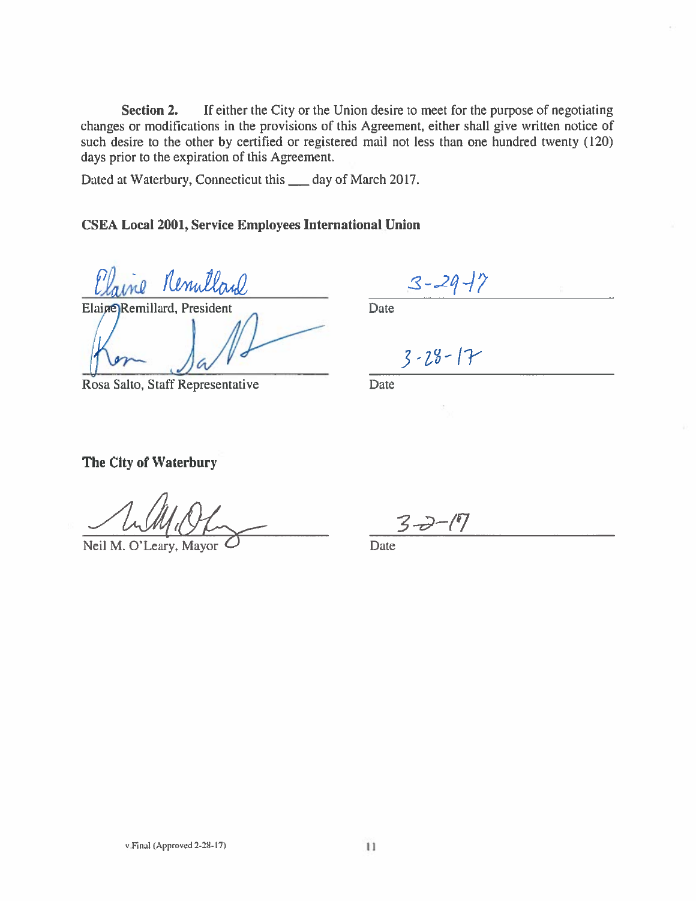Section 2. If either the City or the Union desire to meet for the purpose of negotiating changes or modifications in the provisions of this Agreement, either shall give written notice of such desire to the other by certified or registered mail not less than one hundred twenty (120) days prior to the expiration of this Agreement.

Dated at Waterbury, Connecticut this \_\_\_ day of March 2017.

## **CSEA Local 2001, Service Employees International Union**

ne Renullard

Elaine Remillard, President

Rosa Salto, Staff Representative

 $3 - 29 - 7$ 

Date

 $3 - 28 - 17$ 

Date

## The City of Waterbury

Neil M. O'Leary, Mayor

Date